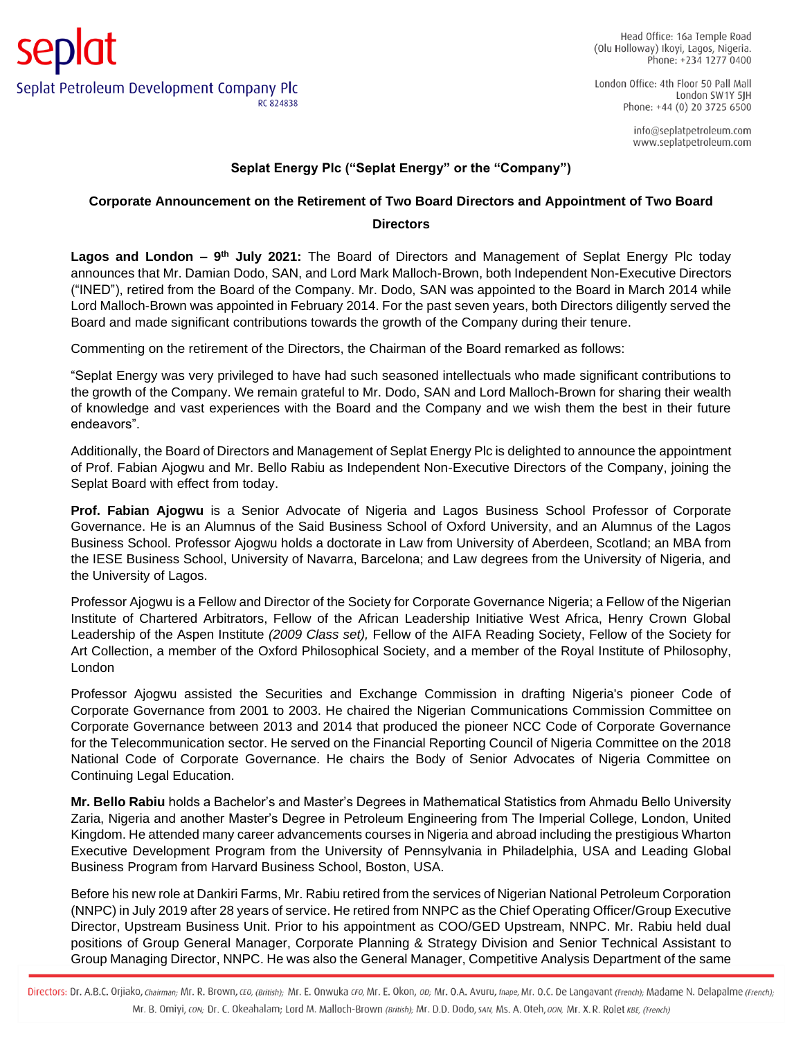London Office: 4th Floor 50 Pall Mall London SW1Y 5IH Phone: +44 (0) 20 3725 6500

> info@seplatpetroleum.com www.seplatpetroleum.com

## **Seplat Energy Plc ("Seplat Energy" or the "Company")**

## **Corporate Announcement on the Retirement of Two Board Directors and Appointment of Two Board**

## **Directors**

Lagos and London - 9<sup>th</sup> July 2021: The Board of Directors and Management of Seplat Energy Plc today announces that Mr. Damian Dodo, SAN, and Lord Mark Malloch-Brown, both Independent Non-Executive Directors ("INED"), retired from the Board of the Company. Mr. Dodo, SAN was appointed to the Board in March 2014 while Lord Malloch-Brown was appointed in February 2014. For the past seven years, both Directors diligently served the Board and made significant contributions towards the growth of the Company during their tenure.

Commenting on the retirement of the Directors, the Chairman of the Board remarked as follows:

"Seplat Energy was very privileged to have had such seasoned intellectuals who made significant contributions to the growth of the Company. We remain grateful to Mr. Dodo, SAN and Lord Malloch-Brown for sharing their wealth of knowledge and vast experiences with the Board and the Company and we wish them the best in their future endeavors".

Additionally, the Board of Directors and Management of Seplat Energy Plc is delighted to announce the appointment of Prof. Fabian Ajogwu and Mr. Bello Rabiu as Independent Non-Executive Directors of the Company, joining the Seplat Board with effect from today.

**Prof. Fabian Ajogwu** is a Senior Advocate of Nigeria and Lagos Business School Professor of Corporate Governance. He is an Alumnus of the Said Business School of Oxford University, and an Alumnus of the Lagos Business School. Professor Ajogwu holds a doctorate in Law from University of Aberdeen, Scotland; an MBA from the IESE Business School, University of Navarra, Barcelona; and Law degrees from the University of Nigeria, and the University of Lagos.

Professor Ajogwu is a Fellow and Director of the Society for Corporate Governance Nigeria; a Fellow of the Nigerian Institute of Chartered Arbitrators, Fellow of the African Leadership Initiative West Africa, Henry Crown Global Leadership of the Aspen Institute *(2009 Class set),* Fellow of the AIFA Reading Society, Fellow of the Society for Art Collection, a member of the Oxford Philosophical Society, and a member of the Royal Institute of Philosophy, London

Professor Ajogwu assisted the Securities and Exchange Commission in drafting Nigeria's pioneer Code of Corporate Governance from 2001 to 2003. He chaired the Nigerian Communications Commission Committee on Corporate Governance between 2013 and 2014 that produced the pioneer NCC Code of Corporate Governance for the Telecommunication sector. He served on the Financial Reporting Council of Nigeria Committee on the 2018 National Code of Corporate Governance. He chairs the Body of Senior Advocates of Nigeria Committee on Continuing Legal Education.

**Mr. Bello Rabiu** holds a Bachelor's and Master's Degrees in Mathematical Statistics from Ahmadu Bello University Zaria, Nigeria and another Master's Degree in Petroleum Engineering from The Imperial College, London, United Kingdom. He attended many career advancements courses in Nigeria and abroad including the prestigious Wharton Executive Development Program from the University of Pennsylvania in Philadelphia, USA and Leading Global Business Program from Harvard Business School, Boston, USA.

Before his new role at Dankiri Farms, Mr. Rabiu retired from the services of Nigerian National Petroleum Corporation (NNPC) in July 2019 after 28 years of service. He retired from NNPC as the Chief Operating Officer/Group Executive Director, Upstream Business Unit. Prior to his appointment as COO/GED Upstream, NNPC. Mr. Rabiu held dual positions of Group General Manager, Corporate Planning & Strategy Division and Senior Technical Assistant to Group Managing Director, NNPC. He was also the General Manager, Competitive Analysis Department of the same

Directors: Dr. A.B.C. Orjiako, chairman; Mr. R. Brown, cEO, (British); Mr. E. Onwuka cFO, Mr. E. Okon, oD; Mr. O.A. Avuru, fnape, Mr. O.C. De Langavant (French); Madame N. Delapalme (French); Mr. B. Omiyi, con; Dr. C. Okeahalam; Lord M. Malloch-Brown (British); Mr. D.D. Dodo, sAN, Ms. A. Oteh, oon, Mr. X. R. Rolet KBE, (French)